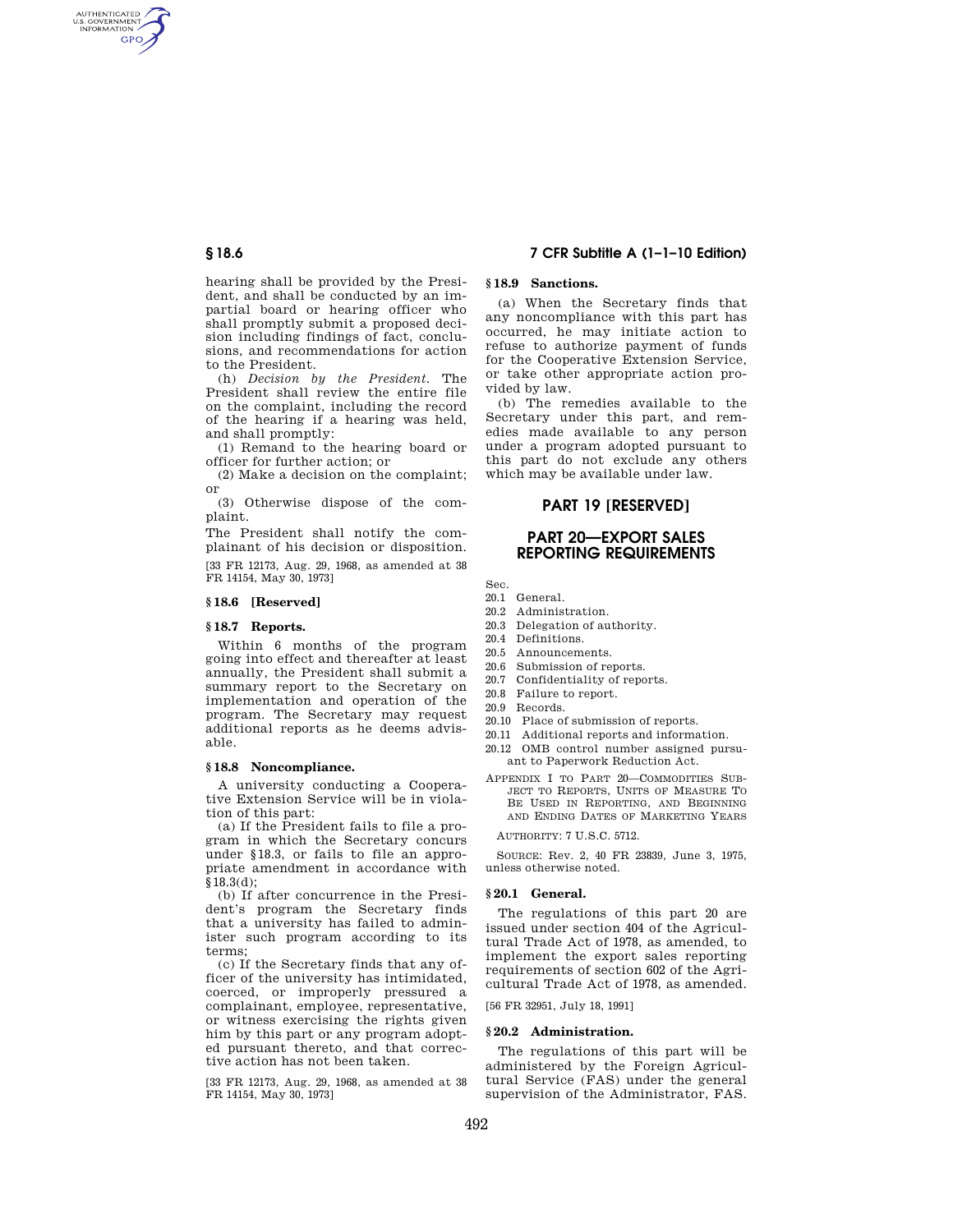AUTHENTICATED<br>U.S. GOVERNMENT<br>INFORMATION **GPO** 

> hearing shall be provided by the President, and shall be conducted by an impartial board or hearing officer who shall promptly submit a proposed decision including findings of fact, conclusions, and recommendations for action to the President.

> (h) *Decision by the President.* The President shall review the entire file on the complaint, including the record of the hearing if a hearing was held, and shall promptly:

(1) Remand to the hearing board or officer for further action; or

(2) Make a decision on the complaint; or

(3) Otherwise dispose of the complaint.

The President shall notify the complainant of his decision or disposition.

[33 FR 12173, Aug. 29, 1968, as amended at 38 FR 14154, May 30, 1973]

#### **§ 18.6 [Reserved]**

### **§ 18.7 Reports.**

Within 6 months of the program going into effect and thereafter at least annually, the President shall submit a summary report to the Secretary on implementation and operation of the program. The Secretary may request additional reports as he deems advisable.

## **§ 18.8 Noncompliance.**

A university conducting a Cooperative Extension Service will be in violation of this part:

(a) If the President fails to file a program in which the Secretary concurs under §18.3, or fails to file an appropriate amendment in accordance with §18.3(d);

(b) If after concurrence in the President's program the Secretary finds that a university has failed to administer such program according to its terms;

(c) If the Secretary finds that any officer of the university has intimidated, coerced, or improperly pressured a complainant, employee, representative, or witness exercising the rights given him by this part or any program adopted pursuant thereto, and that corrective action has not been taken.

[33 FR 12173, Aug. 29, 1968, as amended at 38 FR 14154, May 30, 1973]

## **§ 18.6 7 CFR Subtitle A (1–1–10 Edition)**

# **§ 18.9 Sanctions.**

(a) When the Secretary finds that any noncompliance with this part has occurred, he may initiate action to refuse to authorize payment of funds for the Cooperative Extension Service, or take other appropriate action provided by law.

(b) The remedies available to the Secretary under this part, and remedies made available to any person under a program adopted pursuant to this part do not exclude any others which may be available under law.

# **PART 19 [RESERVED]**

# **PART 20—EXPORT SALES REPORTING REQUIREMENTS**

Sec.

- 20.1 General.
- 20.2 Administration. 20.3 Delegation of authority.
- 20.4 Definitions.
- 20.5 Announcements.
- 20.6 Submission of reports.
- 20.7 Confidentiality of reports.
- 20.8 Failure to report.
- 20.9 Records.
- 
- 20.10 Place of submission of reports.
- 20.11 Additional reports and information. 20.12 OMB control number assigned pursuant to Paperwork Reduction Act.
- APPENDIX I TO PART 20—COMMODITIES SUB-JECT TO REPORTS, UNITS OF MEASURE TO BE USED IN REPORTING, AND BEGINNING AND ENDING DATES OF MARKETING YEARS

AUTHORITY: 7 U.S.C. 5712.

SOURCE: Rev. 2, 40 FR 23839, June 3, 1975, unless otherwise noted.

#### **§ 20.1 General.**

The regulations of this part 20 are issued under section 404 of the Agricultural Trade Act of 1978, as amended, to implement the export sales reporting requirements of section 602 of the Agricultural Trade Act of 1978, as amended.

[56 FR 32951, July 18, 1991]

### **§ 20.2 Administration.**

The regulations of this part will be administered by the Foreign Agricultural Service (FAS) under the general supervision of the Administrator, FAS.